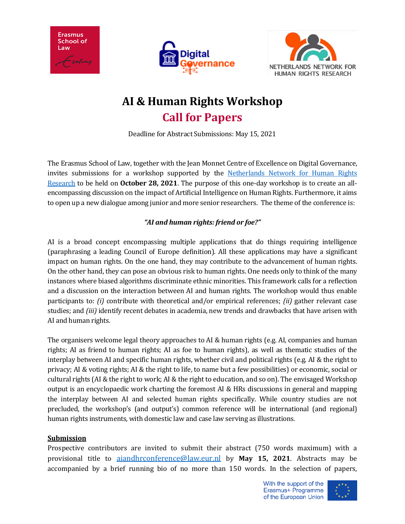





## **AI & Human Rights Workshop Call for Papers**

Deadline for Abstract Submissions: May 15, 2021

The Erasmus School of Law, together with the Jean Monnet Centre of Excellence on Digital Governance, invites submissions for a workshop supported by the [Netherlands Network for Human Rights](https://www.asser.nl/research/inter-university-platforms/netherlands-network-for-human-rights-research-nnhrr/)  [Research](https://www.asser.nl/research/inter-university-platforms/netherlands-network-for-human-rights-research-nnhrr/) to be held on **October 28, 2021**. The purpose of this one-day workshop is to create an allencompassing discussion on the impact of Artificial Intelligence on Human Rights. Furthermore, it aims to open up a new dialogue among junior and more senior researchers. The theme of the conference is:

## *"AI and human rights: friend or foe?"*

AI is a broad concept encompassing multiple applications that do things requiring intelligence (paraphrasing a leading Council of Europe definition). All these applications may have a significant impact on human rights. On the one hand, they may contribute to the advancement of human rights. On the other hand, they can pose an obvious risk to human rights. One needs only to think of the many instances where biased algorithms discriminate ethnic minorities. This framework calls for a reflection and a discussion on the interaction between AI and human rights. The workshop would thus enable participants to: *(i)* contribute with theoretical and/or empirical references; *(ii)* gather relevant case studies; and *(iii)* identify recent debates in academia, new trends and drawbacks that have arisen with AI and human rights.

The organisers welcome legal theory approaches to AI & human rights (e.g. AI, companies and human rights; AI as friend to human rights; AI as foe to human rights), as well as thematic studies of the interplay between AI and specific human rights, whether civil and political rights (e.g. AI & the right to privacy; AI & voting rights; AI & the right to life, to name but a few possibilities) or economic, social or cultural rights (AI & the right to work; AI & the right to education, and so on). The envisaged Workshop output is an encyclopaedic work charting the foremost AI & HRs discussions in general and mapping the interplay between AI and selected human rights specifically. While country studies are not precluded, the workshop's (and output's) common reference will be international (and regional) human rights instruments, with domestic law and case law serving as illustrations.

## **Submission**

Prospective contributors are invited to submit their abstract (750 words maximum) with a provisional title to [aiandhrconference@law.eur.nl](mailto:aiandhrconference@law.eur.nl) by **May 15, 2021**. Abstracts may be accompanied by a brief running bio of no more than 150 words. In the selection of papers,

> With the support of the Erasmus+ Programme of the European Union